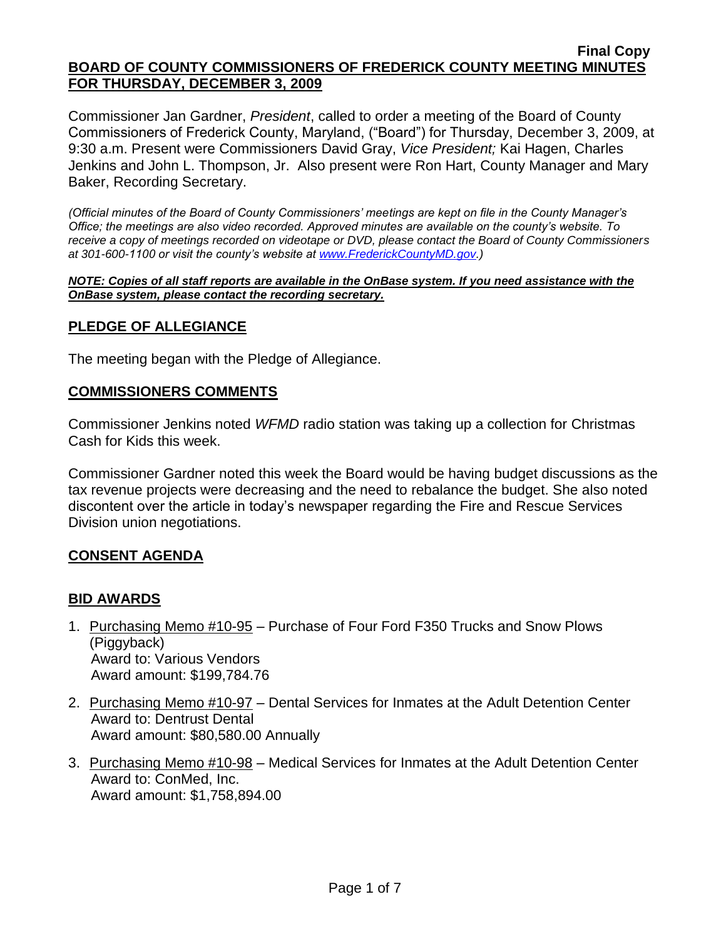#### **Final Copy BOARD OF COUNTY COMMISSIONERS OF FREDERICK COUNTY MEETING MINUTES FOR THURSDAY, DECEMBER 3, 2009**

Commissioner Jan Gardner, *President*, called to order a meeting of the Board of County Commissioners of Frederick County, Maryland, ("Board") for Thursday, December 3, 2009, at 9:30 a.m. Present were Commissioners David Gray, *Vice President;* Kai Hagen, Charles Jenkins and John L. Thompson, Jr. Also present were Ron Hart, County Manager and Mary Baker, Recording Secretary.

*(Official minutes of the Board of County Commissioners' meetings are kept on file in the County Manager's Office; the meetings are also video recorded. Approved minutes are available on the county's website. To receive a copy of meetings recorded on videotape or DVD, please contact the Board of County Commissioners at 301-600-1100 or visit the county's website at [www.FrederickCountyMD.gov.](http://www.frederickcountymd.gov/))*

*NOTE: Copies of all staff reports are available in the OnBase system. If you need assistance with the OnBase system, please contact the recording secretary.*

### **PLEDGE OF ALLEGIANCE**

The meeting began with the Pledge of Allegiance.

#### **COMMISSIONERS COMMENTS**

Commissioner Jenkins noted *WFMD* radio station was taking up a collection for Christmas Cash for Kids this week.

Commissioner Gardner noted this week the Board would be having budget discussions as the tax revenue projects were decreasing and the need to rebalance the budget. She also noted discontent over the article in today's newspaper regarding the Fire and Rescue Services Division union negotiations.

### **CONSENT AGENDA**

### **BID AWARDS**

- 1. Purchasing Memo #10-95 Purchase of Four Ford F350 Trucks and Snow Plows (Piggyback) Award to: Various Vendors Award amount: \$199,784.76
- 2. Purchasing Memo #10-97 Dental Services for Inmates at the Adult Detention Center Award to: Dentrust Dental Award amount: \$80,580.00 Annually
- 3. Purchasing Memo #10-98 Medical Services for Inmates at the Adult Detention Center Award to: ConMed, Inc. Award amount: \$1,758,894.00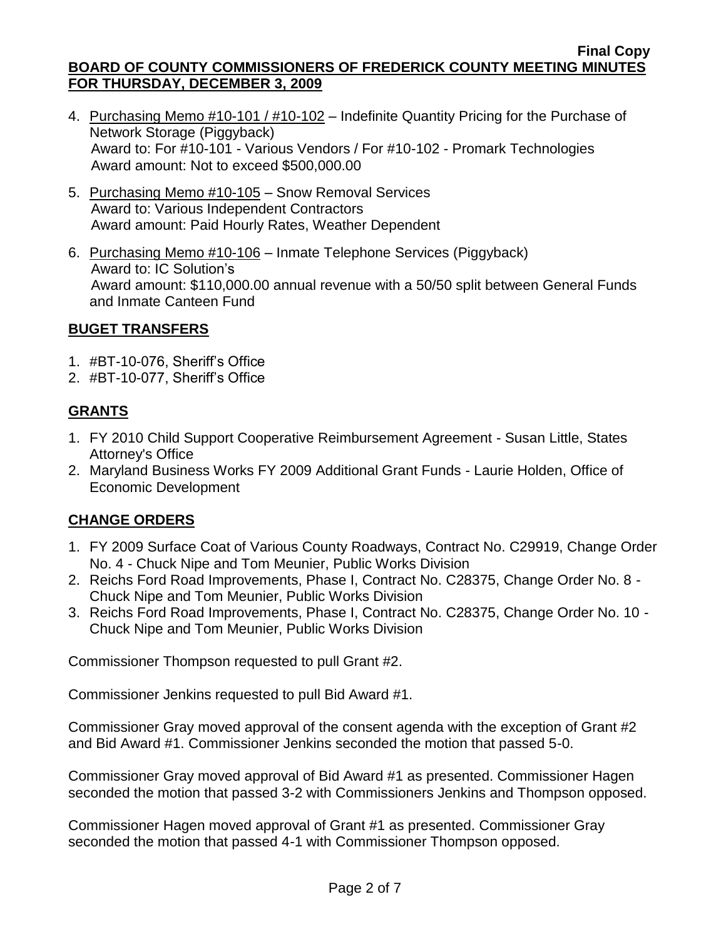- 4. Purchasing Memo #10-101 / #10-102 Indefinite Quantity Pricing for the Purchase of Network Storage (Piggyback) Award to: For #10-101 - Various Vendors / For #10-102 - Promark Technologies Award amount: Not to exceed \$500,000.00
- 5. Purchasing Memo #10-105 Snow Removal Services Award to: Various Independent Contractors Award amount: Paid Hourly Rates, Weather Dependent
- 6. Purchasing Memo #10-106 Inmate Telephone Services (Piggyback) Award to: IC Solution's Award amount: \$110,000.00 annual revenue with a 50/50 split between General Funds and Inmate Canteen Fund

# **BUGET TRANSFERS**

- 1. #BT-10-076, Sheriff's Office
- 2. #BT-10-077, Sheriff's Office

# **GRANTS**

- 1. FY 2010 Child Support Cooperative Reimbursement Agreement Susan Little, States Attorney's Office
- 2. Maryland Business Works FY 2009 Additional Grant Funds Laurie Holden, Office of Economic Development

# **CHANGE ORDERS**

- 1. FY 2009 Surface Coat of Various County Roadways, Contract No. C29919, Change Order No. 4 - Chuck Nipe and Tom Meunier, Public Works Division
- 2. Reichs Ford Road Improvements, Phase I, Contract No. C28375, Change Order No. 8 Chuck Nipe and Tom Meunier, Public Works Division
- 3. Reichs Ford Road Improvements, Phase I, Contract No. C28375, Change Order No. 10 Chuck Nipe and Tom Meunier, Public Works Division

Commissioner Thompson requested to pull Grant #2.

Commissioner Jenkins requested to pull Bid Award #1.

Commissioner Gray moved approval of the consent agenda with the exception of Grant #2 and Bid Award #1. Commissioner Jenkins seconded the motion that passed 5-0.

Commissioner Gray moved approval of Bid Award #1 as presented. Commissioner Hagen seconded the motion that passed 3-2 with Commissioners Jenkins and Thompson opposed.

Commissioner Hagen moved approval of Grant #1 as presented. Commissioner Gray seconded the motion that passed 4-1 with Commissioner Thompson opposed.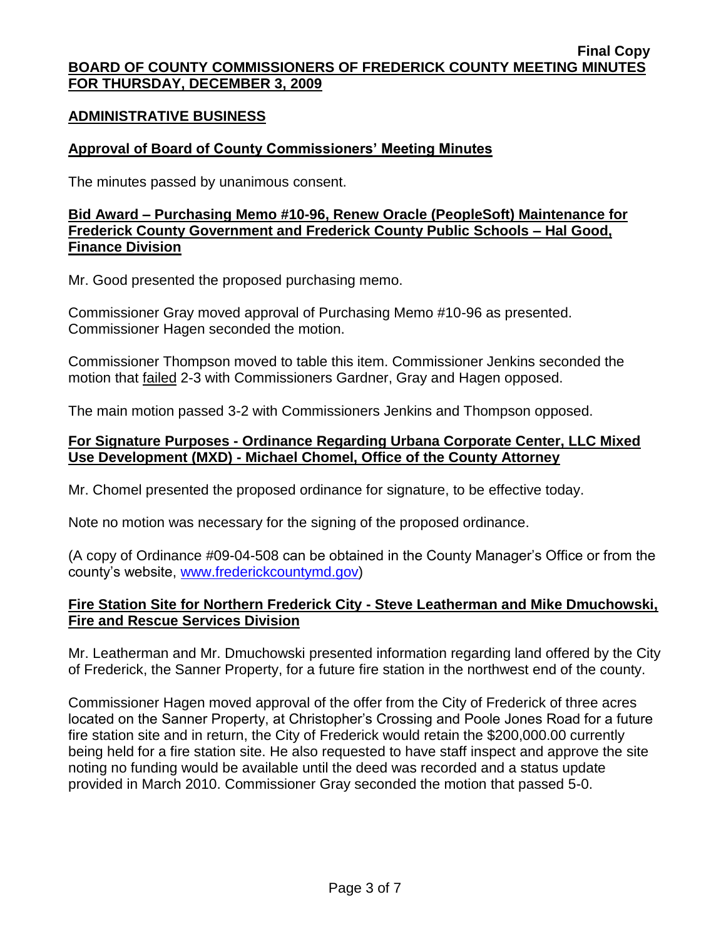### **ADMINISTRATIVE BUSINESS**

## **Approval of Board of County Commissioners' Meeting Minutes**

The minutes passed by unanimous consent.

### **Bid Award – Purchasing Memo #10-96, Renew Oracle (PeopleSoft) Maintenance for Frederick County Government and Frederick County Public Schools – Hal Good, Finance Division**

Mr. Good presented the proposed purchasing memo.

Commissioner Gray moved approval of Purchasing Memo #10-96 as presented. Commissioner Hagen seconded the motion.

Commissioner Thompson moved to table this item. Commissioner Jenkins seconded the motion that failed 2-3 with Commissioners Gardner, Gray and Hagen opposed.

The main motion passed 3-2 with Commissioners Jenkins and Thompson opposed.

### **For Signature Purposes - Ordinance Regarding Urbana Corporate Center, LLC Mixed Use Development (MXD) - Michael Chomel, Office of the County Attorney**

Mr. Chomel presented the proposed ordinance for signature, to be effective today.

Note no motion was necessary for the signing of the proposed ordinance.

(A copy of Ordinance #09-04-508 can be obtained in the County Manager's Office or from the county's website, [www.frederickcountymd.gov\)](file:\\NT1S5\BOCC\BOCC\BOCC%20Minutes\Mary)

## **Fire Station Site for Northern Frederick City - Steve Leatherman and Mike Dmuchowski, Fire and Rescue Services Division**

Mr. Leatherman and Mr. Dmuchowski presented information regarding land offered by the City of Frederick, the Sanner Property, for a future fire station in the northwest end of the county.

Commissioner Hagen moved approval of the offer from the City of Frederick of three acres located on the Sanner Property, at Christopher's Crossing and Poole Jones Road for a future fire station site and in return, the City of Frederick would retain the \$200,000.00 currently being held for a fire station site. He also requested to have staff inspect and approve the site noting no funding would be available until the deed was recorded and a status update provided in March 2010. Commissioner Gray seconded the motion that passed 5-0.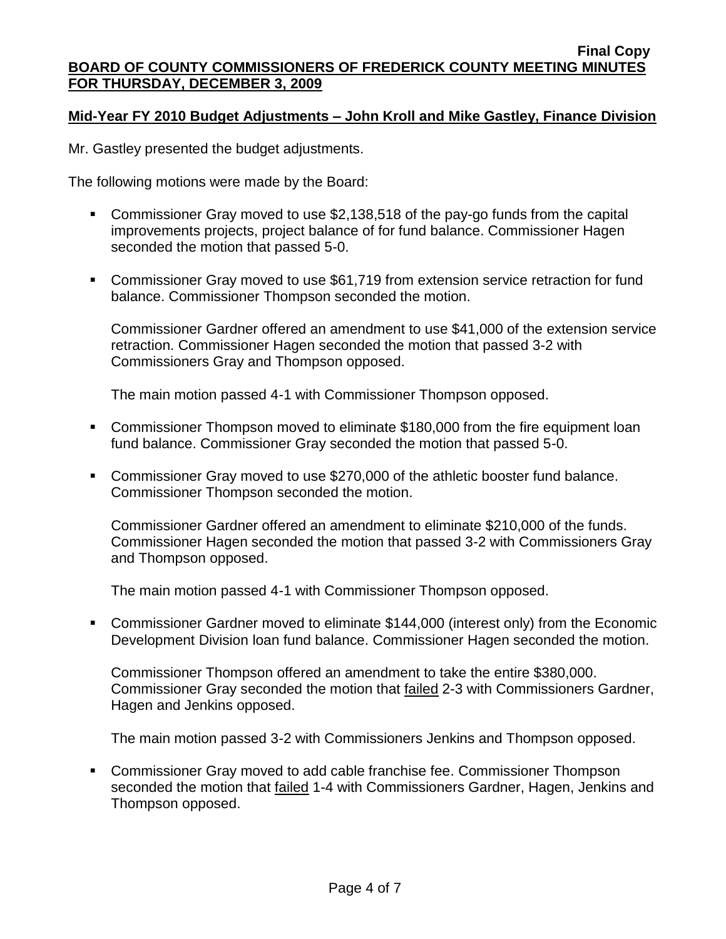### **Mid-Year FY 2010 Budget Adjustments – John Kroll and Mike Gastley, Finance Division**

Mr. Gastley presented the budget adjustments.

The following motions were made by the Board:

- Commissioner Gray moved to use \$2,138,518 of the pay-go funds from the capital improvements projects, project balance of for fund balance. Commissioner Hagen seconded the motion that passed 5-0.
- Commissioner Gray moved to use \$61,719 from extension service retraction for fund balance. Commissioner Thompson seconded the motion.

Commissioner Gardner offered an amendment to use \$41,000 of the extension service retraction. Commissioner Hagen seconded the motion that passed 3-2 with Commissioners Gray and Thompson opposed.

The main motion passed 4-1 with Commissioner Thompson opposed.

- Commissioner Thompson moved to eliminate \$180,000 from the fire equipment loan fund balance. Commissioner Gray seconded the motion that passed 5-0.
- Commissioner Gray moved to use \$270,000 of the athletic booster fund balance. Commissioner Thompson seconded the motion.

Commissioner Gardner offered an amendment to eliminate \$210,000 of the funds. Commissioner Hagen seconded the motion that passed 3-2 with Commissioners Gray and Thompson opposed.

The main motion passed 4-1 with Commissioner Thompson opposed.

 Commissioner Gardner moved to eliminate \$144,000 (interest only) from the Economic Development Division loan fund balance. Commissioner Hagen seconded the motion.

Commissioner Thompson offered an amendment to take the entire \$380,000. Commissioner Gray seconded the motion that failed 2-3 with Commissioners Gardner, Hagen and Jenkins opposed.

The main motion passed 3-2 with Commissioners Jenkins and Thompson opposed.

 Commissioner Gray moved to add cable franchise fee. Commissioner Thompson seconded the motion that failed 1-4 with Commissioners Gardner, Hagen, Jenkins and Thompson opposed.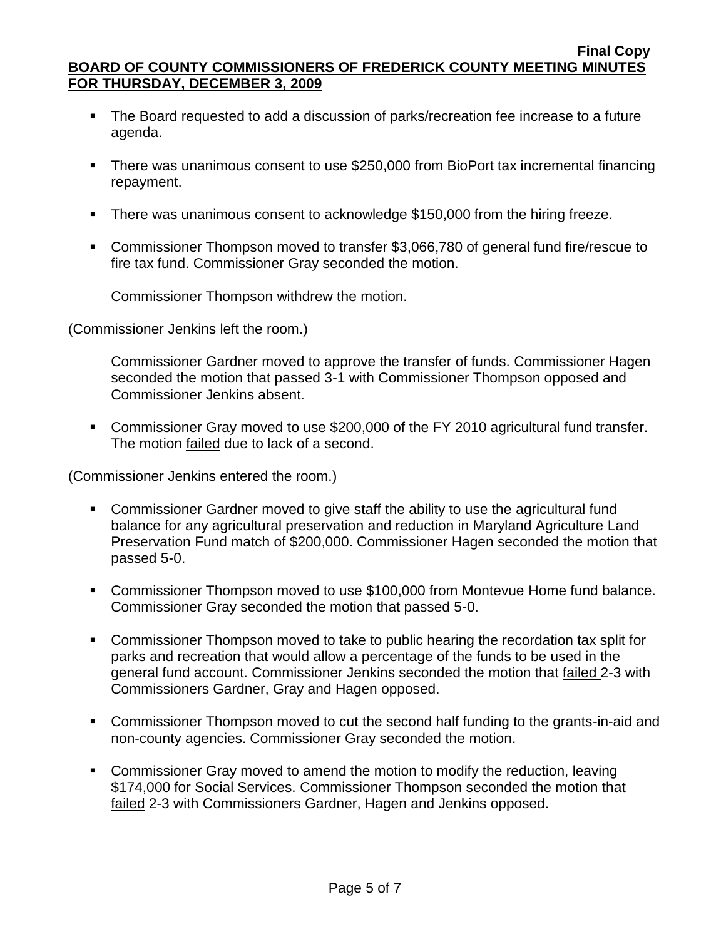- The Board requested to add a discussion of parks/recreation fee increase to a future agenda.
- There was unanimous consent to use \$250,000 from BioPort tax incremental financing repayment.
- **There was unanimous consent to acknowledge \$150,000 from the hiring freeze.**
- Commissioner Thompson moved to transfer \$3,066,780 of general fund fire/rescue to fire tax fund. Commissioner Gray seconded the motion.

Commissioner Thompson withdrew the motion.

(Commissioner Jenkins left the room.)

Commissioner Gardner moved to approve the transfer of funds. Commissioner Hagen seconded the motion that passed 3-1 with Commissioner Thompson opposed and Commissioner Jenkins absent.

 Commissioner Gray moved to use \$200,000 of the FY 2010 agricultural fund transfer. The motion failed due to lack of a second.

(Commissioner Jenkins entered the room.)

- Commissioner Gardner moved to give staff the ability to use the agricultural fund balance for any agricultural preservation and reduction in Maryland Agriculture Land Preservation Fund match of \$200,000. Commissioner Hagen seconded the motion that passed 5-0.
- Commissioner Thompson moved to use \$100,000 from Montevue Home fund balance. Commissioner Gray seconded the motion that passed 5-0.
- Commissioner Thompson moved to take to public hearing the recordation tax split for parks and recreation that would allow a percentage of the funds to be used in the general fund account. Commissioner Jenkins seconded the motion that failed 2-3 with Commissioners Gardner, Gray and Hagen opposed.
- Commissioner Thompson moved to cut the second half funding to the grants-in-aid and non-county agencies. Commissioner Gray seconded the motion.
- Commissioner Gray moved to amend the motion to modify the reduction, leaving \$174,000 for Social Services. Commissioner Thompson seconded the motion that failed 2-3 with Commissioners Gardner, Hagen and Jenkins opposed.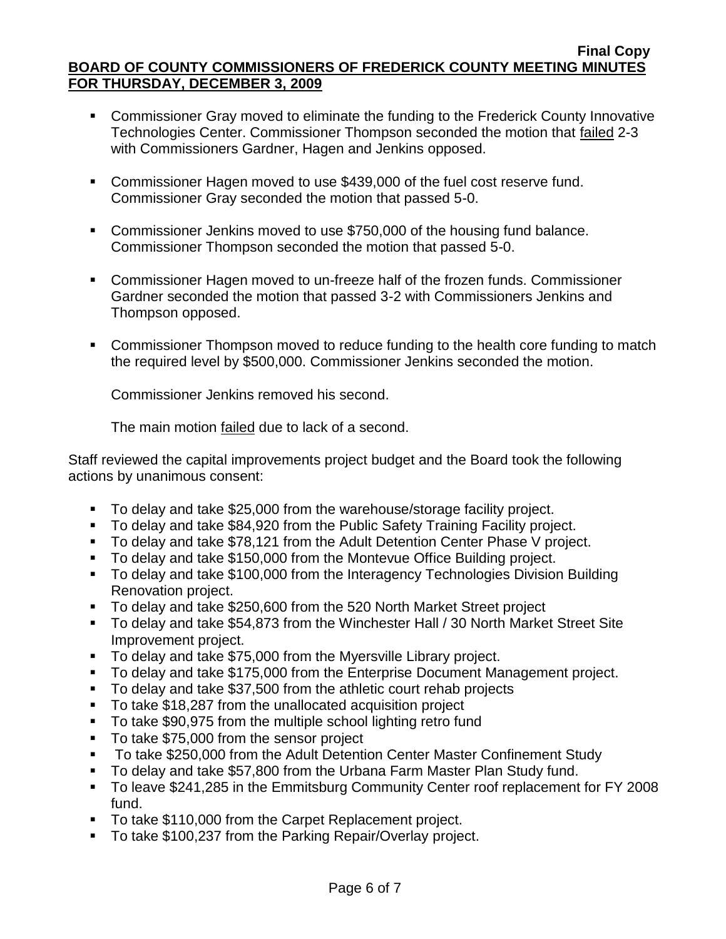- Commissioner Gray moved to eliminate the funding to the Frederick County Innovative Technologies Center. Commissioner Thompson seconded the motion that failed 2-3 with Commissioners Gardner, Hagen and Jenkins opposed.
- Commissioner Hagen moved to use \$439,000 of the fuel cost reserve fund. Commissioner Gray seconded the motion that passed 5-0.
- Commissioner Jenkins moved to use \$750,000 of the housing fund balance. Commissioner Thompson seconded the motion that passed 5-0.
- Commissioner Hagen moved to un-freeze half of the frozen funds. Commissioner Gardner seconded the motion that passed 3-2 with Commissioners Jenkins and Thompson opposed.
- **Commissioner Thompson moved to reduce funding to the health core funding to match** the required level by \$500,000. Commissioner Jenkins seconded the motion.

Commissioner Jenkins removed his second.

The main motion **failed** due to lack of a second.

Staff reviewed the capital improvements project budget and the Board took the following actions by unanimous consent:

- To delay and take \$25,000 from the warehouse/storage facility project.
- To delay and take \$84,920 from the Public Safety Training Facility project.
- To delay and take \$78,121 from the Adult Detention Center Phase V project.
- To delay and take \$150,000 from the Montevue Office Building project.
- To delay and take \$100,000 from the Interagency Technologies Division Building Renovation project.
- To delay and take \$250,600 from the 520 North Market Street project
- To delay and take \$54,873 from the Winchester Hall / 30 North Market Street Site Improvement project.
- To delay and take \$75,000 from the Myersville Library project.
- To delay and take \$175,000 from the Enterprise Document Management project.
- To delay and take \$37,500 from the athletic court rehab projects
- To take \$18,287 from the unallocated acquisition project
- To take \$90,975 from the multiple school lighting retro fund
- To take \$75,000 from the sensor project
- To take \$250,000 from the Adult Detention Center Master Confinement Study
- To delay and take \$57,800 from the Urbana Farm Master Plan Study fund.
- To leave \$241,285 in the Emmitsburg Community Center roof replacement for FY 2008 fund.
- To take \$110,000 from the Carpet Replacement project.
- To take \$100,237 from the Parking Repair/Overlay project.